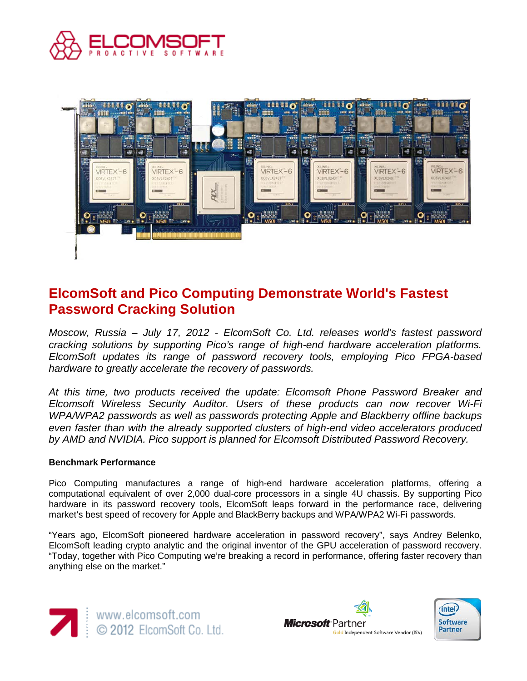



# **ElcomSoft and Pico Computing Demonstrate World's Fastest Password Cracking Solution**

*Moscow, Russia – July 17, 2012 - ElcomSoft Co. Ltd. releases world's fastest password cracking solutions by supporting Pico's range of high-end hardware acceleration platforms. ElcomSoft updates its range of password recovery tools, employing Pico FPGA-based hardware to greatly accelerate the recovery of passwords.*

*At this time, two products received the update: Elcomsoft Phone Password Breaker and Elcomsoft Wireless Security Auditor. Users of these products can now recover Wi-Fi WPA/WPA2 passwords as well as passwords protecting Apple and Blackberry offline backups even faster than with the already supported clusters of high-end video accelerators produced by AMD and NVIDIA. Pico support is planned for Elcomsoft Distributed Password Recovery.*

#### **Benchmark Performance**

Pico Computing manufactures a range of high-end hardware acceleration platforms, offering a computational equivalent of over 2,000 dual-core processors in a single 4U chassis. By supporting Pico hardware in its password recovery tools, ElcomSoft leaps forward in the performance race, delivering market's best speed of recovery for Apple and BlackBerry backups and WPA/WPA2 Wi-Fi passwords.

"Years ago, ElcomSoft pioneered hardware acceleration in password recovery", says Andrey Belenko, ElcomSoft leading crypto analytic and the original inventor of the GPU acceleration of password recovery. "Today, together with Pico Computing we're breaking a record in performance, offering faster recovery than anything else on the market."